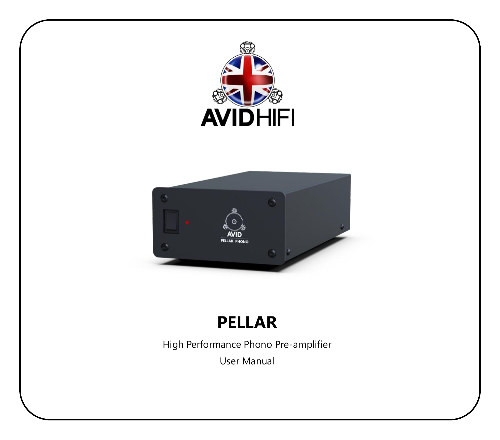

# **PELLAR**

High Performance Phono Pre-amplifier

User Manual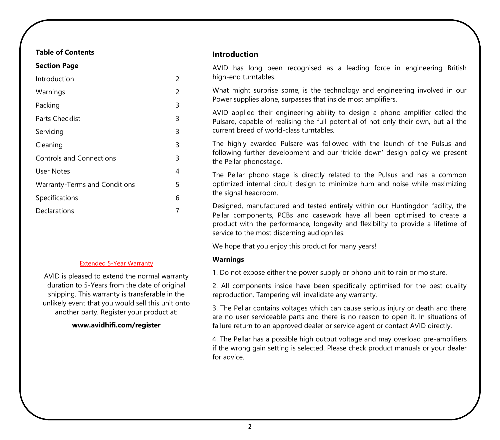### **Table of Contents**

| <b>Section Page</b>                  |   |
|--------------------------------------|---|
| Introduction                         | 2 |
| Warnings                             | 2 |
| Packing                              | 3 |
| <b>Parts Checklist</b>               | 3 |
| Servicing                            | 3 |
| Cleaning                             | 3 |
| <b>Controls and Connections</b>      | 3 |
| <b>User Notes</b>                    | 4 |
| <b>Warranty-Terms and Conditions</b> | 5 |
| Specifications                       | 6 |
| Declarations                         | 7 |
|                                      |   |

#### Extended 5-Year Warranty

AVID is pleased to extend the normal warranty duration to 5-Years from the date of original shipping. This warranty is transferable in the unlikely event that you would sell this unit onto another party. Register your product at:

#### **www.avidhifi.com/register**

#### **Introduction**

AVID has long been recognised as a leading force in engineering British high-end turntables.

What might surprise some, is the technology and engineering involved in our Power supplies alone, surpasses that inside most amplifiers.

AVID applied their engineering ability to design a phono amplifier called the Pulsare, capable of realising the full potential of not only their own, but all the current breed of world-class turntables.

The highly awarded Pulsare was followed with the launch of the Pulsus and following further development and our 'trickle down' design policy we present the Pellar phonostage.

The Pellar phono stage is directly related to the Pulsus and has a common optimized internal circuit design to minimize hum and noise while maximizing the signal headroom.

Designed, manufactured and tested entirely within our Huntingdon facility, the Pellar components, PCBs and casework have all been optimised to create a product with the performance, longevity and flexibility to provide a lifetime of service to the most discerning audiophiles.

We hope that you enjoy this product for many years!

#### **Warnings**

1. Do not expose either the power supply or phono unit to rain or moisture.

2. All components inside have been specifically optimised for the best quality reproduction. Tampering will invalidate any warranty.

3. The Pellar contains voltages which can cause serious injury or death and there are no user serviceable parts and there is no reason to open it. In situations of failure return to an approved dealer or service agent or contact AVID directly.

4. The Pellar has a possible high output voltage and may overload pre-amplifiers if the wrong gain setting is selected. Please check product manuals or your dealer for advice.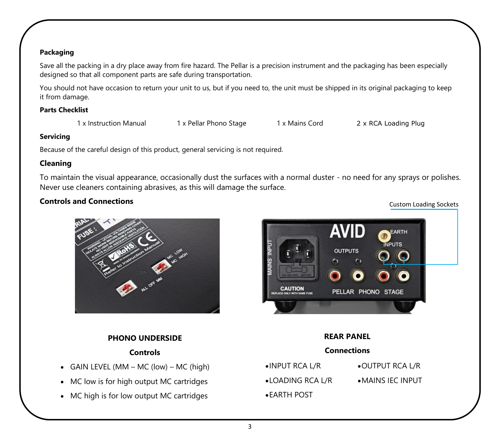## **Packaging**

Save all the packing in a dry place away from fire hazard. The Pellar is a precision instrument and the packaging has been especially designed so that all component parts are safe during transportation.

You should not have occasion to return your unit to us, but if you need to, the unit must be shipped in its original packaging to keep it from damage.

### **Parts Checklist**

1 x Instruction Manual 1 x Pellar Phono Stage 1 x Mains Cord 2 x RCA Loading Plug

Custom Loading Sockets

## **Servicing**

Because of the careful design of this product, general servicing is not required.

# **Cleaning**

To maintain the visual appearance, occasionally dust the surfaces with a normal duster - no need for any sprays or polishes. Never use cleaners containing abrasives, as this will damage the surface.

# **Controls and Connections**

# **PHONO UNDERSIDE**

# **Controls**

- GAIN LEVEL (MM MC (low) MC (high)
- MC low is for high output MC cartridges
- MC high is for low output MC cartridges



| <b>REAR PANEL</b>  |                           |  |
|--------------------|---------------------------|--|
| <b>Connections</b> |                           |  |
| •INPUT RCA L/R     | • OUTPUT RCA L/R          |  |
| •LOADING RCA L/R   | $\bullet$ MAINS IEC INPUT |  |
| • EARTH POST       |                           |  |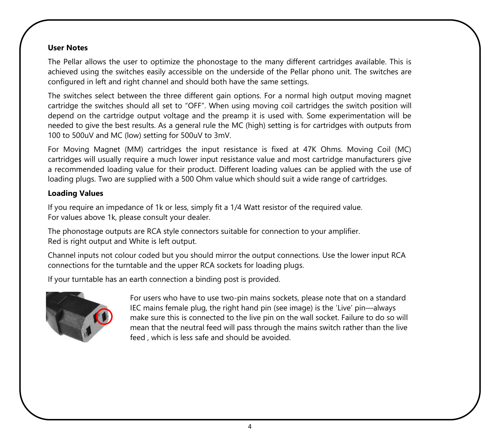# **User Notes**

The Pellar allows the user to optimize the phonostage to the many different cartridges available. This is achieved using the switches easily accessible on the underside of the Pellar phono unit. The switches are configured in left and right channel and should both have the same settings.

The switches select between the three different gain options. For a normal high output moving magnet cartridge the switches should all set to "OFF". When using moving coil cartridges the switch position will depend on the cartridge output voltage and the preamp it is used with. Some experimentation will be needed to give the best results. As a general rule the MC (high) setting is for cartridges with outputs from 100 to 500uV and MC (low) setting for 500uV to 3mV.

For Moving Magnet (MM) cartridges the input resistance is fixed at 47K Ohms. Moving Coil (MC) cartridges will usually require a much lower input resistance value and most cartridge manufacturers give a recommended loading value for their product. Different loading values can be applied with the use of loading plugs. Two are supplied with a 500 Ohm value which should suit a wide range of cartridges.

# **Loading Values**

If you require an impedance of 1k or less, simply fit a 1/4 Watt resistor of the required value. For values above 1k, please consult your dealer.

The phonostage outputs are RCA style connectors suitable for connection to your amplifier. Red is right output and White is left output.

Channel inputs not colour coded but you should mirror the output connections. Use the lower input RCA connections for the turntable and the upper RCA sockets for loading plugs.

If your turntable has an earth connection a binding post is provided.



For users who have to use two-pin mains sockets, please note that on a standard IEC mains female plug, the right hand pin (see image) is the 'Live' pin—always make sure this is connected to the live pin on the wall socket. Failure to do so will mean that the neutral feed will pass through the mains switch rather than the live feed , which is less safe and should be avoided.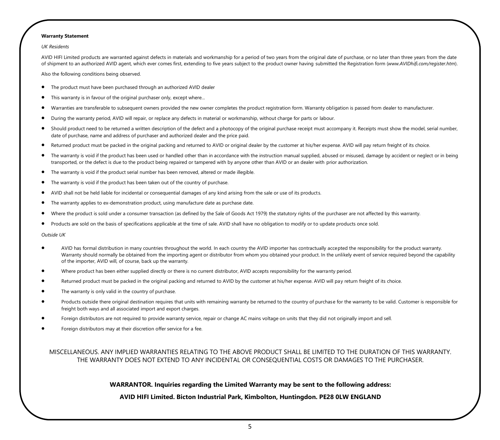#### **Warranty Statement**

*UK Residents* 

AVID HIFI Limited products are warranted against defects in materials and workmanship for a period of two years from the original date of purchase, or no later than three years from the date of shipment to an authorized AVID agent, which ever comes first, extending to five years subject to the product owner having submitted the Registration form (*www.AVIDhifi.com/register.htm*).

Also the following conditions being observed.

- The product must have been purchased through an authorized AVID dealer
- This warranty is in favour of the original purchaser only, except where...
- Warranties are transferable to subsequent owners provided the new owner completes the product registration form. Warranty obligation is passed from dealer to manufacturer.
- During the warranty period, AVID will repair, or replace any defects in material or workmanship, without charge for parts or labour.
- Should product need to be returned a written description of the defect and a photocopy of the original purchase receipt must accompany it. Receipts must show the model, serial number, date of purchase, name and address of purchaser and authorized dealer and the price paid.
- Returned product must be packed in the original packing and returned to AVID or original dealer by the customer at his/her expense. AVID will pay return freight of its choice.
- The warranty is void if the product has been used or handled other than in accordance with the instruction manual supplied, abused or misused, damage by accident or neglect or in being transported, or the defect is due to the product being repaired or tampered with by anyone other than AVID or an dealer with prior authorization.
- The warranty is void if the product serial number has been removed, altered or made illegible.
- The warranty is void if the product has been taken out of the country of purchase.
- AVID shall not be held liable for incidental or consequential damages of any kind arising from the sale or use of its products.
- The warranty applies to ex-demonstration product, using manufacture date as purchase date.
- Where the product is sold under a consumer transaction (as defined by the Sale of Goods Act 1979) the statutory rights of the purchaser are not affected by this warranty.
- Products are sold on the basis of specifications applicable at the time of sale. AVID shall have no obligation to modify or to update products once sold.

*Outside UK* 

- AVID has formal distribution in many countries throughout the world. In each country the AVID importer has contractually accepted the responsibility for the product warranty. Warranty should normally be obtained from the importing agent or distributor from whom you obtained your product. In the unlikely event of service required beyond the capability of the importer, AVID will, of course, back up the warranty.
- Where product has been either supplied directly or there is no current distributor, AVID accepts responsibility for the warranty period.
- Returned product must be packed in the original packing and returned to AVID by the customer at his/her expense. AVID will pay return freight of its choice.
- The warranty is only valid in the country of purchase.
- Products outside there original destination requires that units with remaining warranty be returned to the country of purchase for the warranty to be valid. Customer is responsible for freight both ways and all associated import and export charges.
- Foreign distributors are not required to provide warranty service, repair or change AC mains voltage on units that they did not originally import and sell.
- Foreign distributors may at their discretion offer service for a fee.

MISCELLANEOUS. ANY IMPLIED WARRANTIES RELATING TO THE ABOVE PRODUCT SHALL BE LIMITED TO THE DURATION OF THIS WARRANTY. THE WARRANTY DOES NOT EXTEND TO ANY INCIDENTAL OR CONSEQUENTIAL COSTS OR DAMAGES TO THE PURCHASER.

#### **WARRANTOR. Inquiries regarding the Limited Warranty may be sent to the following address:**

#### **AVID HIFI Limited. Bicton Industrial Park, Kimbolton, Huntingdon. PE28 0LW ENGLAND**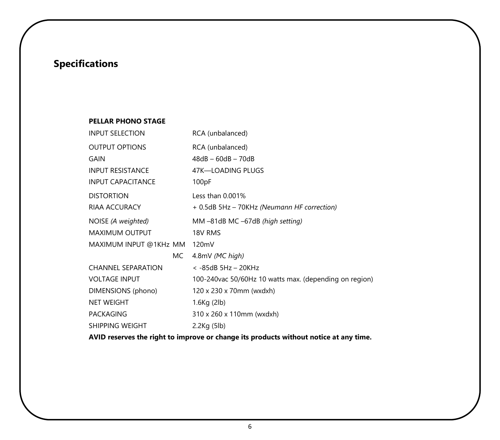# **Specifications**

## **PELLAR PHONO STAGE**

| RCA (unbalanced)                                        |
|---------------------------------------------------------|
| RCA (unbalanced)                                        |
| $48dB - 60dB - 70dB$                                    |
| 47K-LOADING PLUGS                                       |
| 100pF                                                   |
| Less than $0.001\%$                                     |
| + 0.5dB 5Hz - 70KHz (Neumann HF correction)             |
| MM-81dB MC-67dB (high setting)                          |
| 18V RMS                                                 |
| 120mV                                                   |
| 4.8mV (MC high)                                         |
| $<$ -85dB 5Hz - 20KHz                                   |
| 100-240 vac 50/60Hz 10 watts max. (depending on region) |
| 120 x 230 x 70mm (wxdxh)                                |
| 1.6Kg (2lb)                                             |
| 310 x 260 x 110mm (wxdxh)                               |
| $2.2$ Kg $(5$ lb $)$                                    |
|                                                         |

**AVID reserves the right to improve or change its products without notice at any time.**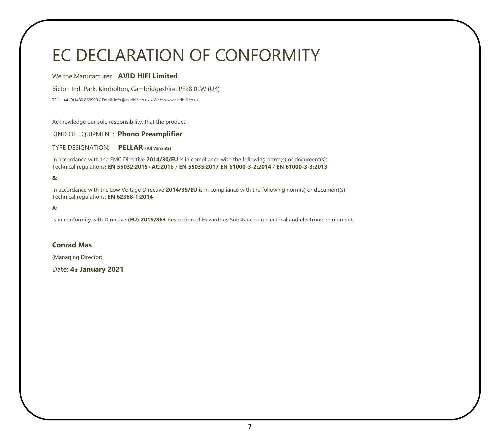# EC DECLARATION OF CONFORMITY

#### We the Manufacturer **AVID HIFI Limited**

Bicton Ind. Park, Kimbolton, Cambridgeshire. PE28 0LW (UK)

TEL: +44 (0)1480 869900 / Email: info@avidhifi.co.uk / Web: www.avidhifi.co.uk

Acknowledge our sole responsibility, that the product:

KIND OF EQUIPMENT: **Phono Preamplifier** 

TYPE DESIGNATION: **PELLAR (All Variants)** 

In accordance with the EMC Directive **2014/30/EU** is in compliance with the following norm(s) or document(s): Technical regulations**: EN 55032:2015+AC:2016** / **EN 55035:2017 EN 61000-3-2:2014** / **EN 61000-3-3:2013** 

#### **&**

In accordance with the Low Voltage Directive **2014/35/EU** is in compliance with the following norm(s) or document(s): Technical regulations: **EN 62368-1:2014** 

#### **&**

Is in conformity with Directive **(EU) 2015/863** Restriction of Hazardous Substances in electrical and electronic equipment.

### **Conrad Mas**

(Managing Director)

Date: **4th January 2021**